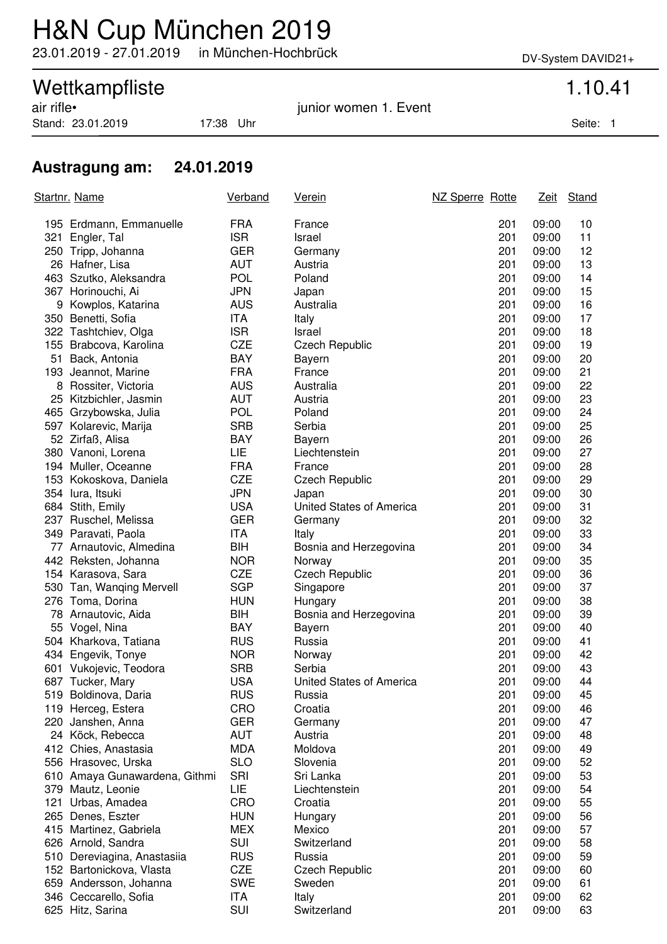## H&N Cup München 2019

23.01.2019 - 27.01.2019 in München-Hochbrück DV-System DAVID21+

# Wettkampfliste<br>
air rifle•<br>
1.10.41<br>
iunior women 1. Event

Stand: 23.01.2019 17:38 Uhr Seite: 1

junior women 1. Event

### **Austragung am: 24.01.2019**

| Startnr. Name |                               | <b>Verband</b> | <u>Verein</u>            | NZ Sperre Rotte |     | <u>Zeit</u> | Stand |
|---------------|-------------------------------|----------------|--------------------------|-----------------|-----|-------------|-------|
|               | 195 Erdmann, Emmanuelle       | <b>FRA</b>     | France                   |                 | 201 | 09:00       | 10    |
|               | 321 Engler, Tal               | <b>ISR</b>     | Israel                   |                 | 201 | 09:00       | 11    |
|               | 250 Tripp, Johanna            | <b>GER</b>     | Germany                  |                 | 201 | 09:00       | 12    |
|               | 26 Hafner, Lisa               | <b>AUT</b>     | Austria                  |                 | 201 | 09:00       | 13    |
|               | 463 Szutko, Aleksandra        | <b>POL</b>     | Poland                   |                 | 201 | 09:00       | 14    |
|               | 367 Horinouchi, Ai            | <b>JPN</b>     | Japan                    |                 | 201 | 09:00       | 15    |
|               | 9 Kowplos, Katarina           | <b>AUS</b>     | Australia                |                 | 201 | 09:00       | 16    |
|               | 350 Benetti, Sofia            | ITA            | Italy                    |                 | 201 | 09:00       | 17    |
|               | 322 Tashtchiev, Olga          | <b>ISR</b>     | Israel                   |                 | 201 | 09:00       | 18    |
|               | 155 Brabcova, Karolina        | <b>CZE</b>     | <b>Czech Republic</b>    |                 | 201 | 09:00       | 19    |
|               | 51 Back, Antonia              | <b>BAY</b>     | Bayern                   |                 | 201 | 09:00       | 20    |
|               | 193 Jeannot, Marine           | <b>FRA</b>     | France                   |                 | 201 | 09:00       | 21    |
|               | 8 Rossiter, Victoria          | <b>AUS</b>     | Australia                |                 | 201 | 09:00       | 22    |
|               | 25 Kitzbichler, Jasmin        | <b>AUT</b>     | Austria                  |                 | 201 | 09:00       | 23    |
|               | 465 Grzybowska, Julia         | <b>POL</b>     | Poland                   |                 | 201 | 09:00       | 24    |
|               | 597 Kolarevic, Marija         | <b>SRB</b>     | Serbia                   |                 | 201 | 09:00       | 25    |
|               | 52 Zirfaß, Alisa              | <b>BAY</b>     | Bayern                   |                 | 201 | 09:00       | 26    |
|               | 380 Vanoni, Lorena            | LIE            | Liechtenstein            |                 | 201 | 09:00       | 27    |
|               | 194 Muller, Oceanne           | <b>FRA</b>     | France                   |                 | 201 | 09:00       | 28    |
|               | 153 Kokoskova, Daniela        | <b>CZE</b>     | <b>Czech Republic</b>    |                 | 201 | 09:00       | 29    |
|               | 354 lura, Itsuki              | <b>JPN</b>     | Japan                    |                 | 201 | 09:00       | 30    |
|               | 684 Stith, Emily              | <b>USA</b>     | United States of America |                 | 201 | 09:00       | 31    |
|               | 237 Ruschel, Melissa          | <b>GER</b>     | Germany                  |                 | 201 | 09:00       | 32    |
|               | 349 Paravati, Paola           | <b>ITA</b>     | Italy                    |                 | 201 | 09:00       | 33    |
|               | 77 Arnautovic, Almedina       | BIH            | Bosnia and Herzegovina   |                 | 201 | 09:00       | 34    |
|               | 442 Reksten, Johanna          | <b>NOR</b>     | Norway                   |                 | 201 | 09:00       | 35    |
|               | 154 Karasova, Sara            | <b>CZE</b>     | <b>Czech Republic</b>    |                 | 201 | 09:00       | 36    |
|               | 530 Tan, Wanqing Mervell      | <b>SGP</b>     | Singapore                |                 | 201 | 09:00       | 37    |
|               | 276 Toma, Dorina              | <b>HUN</b>     | Hungary                  |                 | 201 | 09:00       | 38    |
|               | 78 Arnautovic, Aida           | BIH            | Bosnia and Herzegovina   |                 | 201 | 09:00       | 39    |
|               | 55 Vogel, Nina                | <b>BAY</b>     | Bayern                   |                 | 201 | 09:00       | 40    |
|               | 504 Kharkova, Tatiana         | <b>RUS</b>     | Russia                   |                 | 201 | 09:00       | 41    |
|               | 434 Engevik, Tonye            | <b>NOR</b>     | Norway                   |                 | 201 | 09:00       | 42    |
|               | 601 Vukojevic, Teodora        | <b>SRB</b>     | Serbia                   |                 | 201 | 09:00       | 43    |
|               | 687 Tucker, Mary              | <b>USA</b>     | United States of America |                 | 201 | 09:00       | 44    |
|               | 519 Boldinova, Daria          | RUS            | Russia                   |                 | 201 | 09:00       | 45    |
|               | 119 Herceg, Estera            | CRO            | Croatia                  |                 | 201 | 09:00       | 46    |
|               | 220 Janshen, Anna             | <b>GER</b>     | Germany                  |                 | 201 | 09:00       | 47    |
|               | 24 Köck, Rebecca              | <b>AUT</b>     | Austria                  |                 | 201 | 09:00       | 48    |
|               | 412 Chies, Anastasia          | <b>MDA</b>     | Moldova                  |                 | 201 | 09:00       | 49    |
|               | 556 Hrasovec, Urska           | <b>SLO</b>     | Slovenia                 |                 | 201 | 09:00       | 52    |
|               | 610 Amaya Gunawardena, Githmi | <b>SRI</b>     | Sri Lanka                |                 | 201 | 09:00       | 53    |
|               | 379 Mautz, Leonie             | LIE            | Liechtenstein            |                 | 201 | 09:00       | 54    |
|               | 121 Urbas, Amadea             | CRO            | Croatia                  |                 | 201 | 09:00       | 55    |
|               | 265 Denes, Eszter             | <b>HUN</b>     | Hungary                  |                 | 201 | 09:00       | 56    |
|               | 415 Martinez, Gabriela        | <b>MEX</b>     | Mexico                   |                 | 201 | 09:00       | 57    |
|               | 626 Arnold, Sandra            | SUI            | Switzerland              |                 | 201 | 09:00       | 58    |
|               | 510 Dereviagina, Anastasiia   | <b>RUS</b>     | Russia                   |                 | 201 | 09:00       | 59    |
|               | 152 Bartonickova, Vlasta      | <b>CZE</b>     | <b>Czech Republic</b>    |                 | 201 | 09:00       | 60    |
|               | 659 Andersson, Johanna        | <b>SWE</b>     | Sweden                   |                 | 201 | 09:00       | 61    |
|               | 346 Ceccarello, Sofia         | ITA            | Italy                    |                 | 201 | 09:00       | 62    |
|               | 625 Hitz, Sarina              | SUI            | Switzerland              |                 | 201 | 09:00       | 63    |